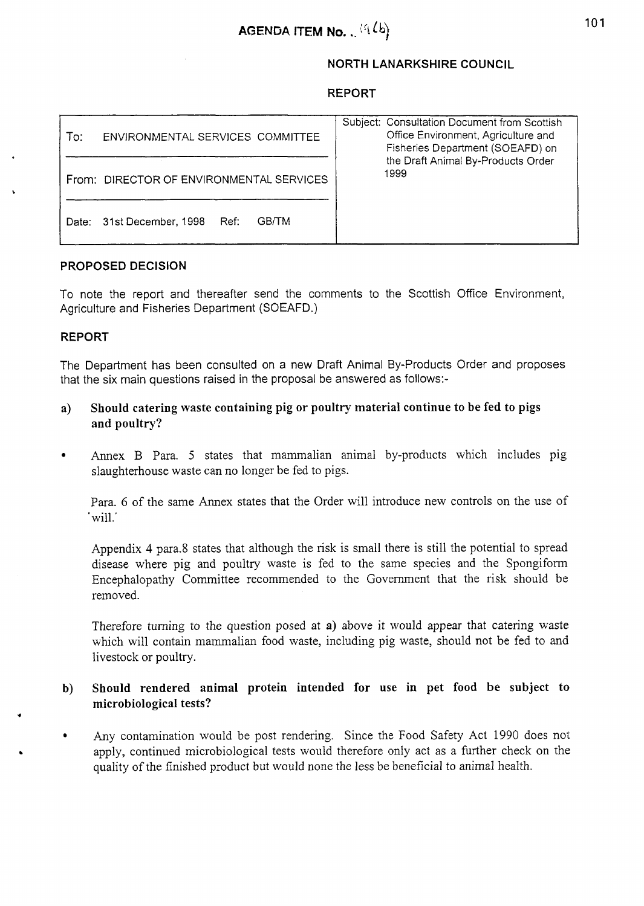# **NORTH LANARKSHIRE COUNCIL**

### **REPORT**

| To:<br>ENVIRONMENTAL SERVICES COMMITTEE           | Subject: Consultation Document from Scottish<br>Office Environment, Agriculture and<br>Fisheries Department (SOEAFD) on<br>the Draft Animal By-Products Order<br>1999 |
|---------------------------------------------------|-----------------------------------------------------------------------------------------------------------------------------------------------------------------------|
| From: DIRECTOR OF ENVIRONMENTAL SERVICES          |                                                                                                                                                                       |
| <b>GB/TM</b><br>31st December, 1998 Ref:<br>Date: |                                                                                                                                                                       |

### **PROPOSED DECISION**

To note the report and thereafter send the comments to the Scottish Office Environment, Agriculture and Fisheries Department (SOEAFD.)

#### **REPORT**

The Department has been consulted on a new Draft Animal By-products Order and proposes that the six main questions raised in the proposal be answered as follows:-

- **a) Should catering waste containing pig or poultry material continue to be fed to pigs and poultry?**
- Annex B Para. 5 states that mammalian animal by-products which includes pig  $\bullet$ slaughterhouse waste can no longer be fed to pigs.

Para. 6 of the same Annex states that the Order will introduce new controls on the use of 'will.'

Appendix **4** para.8 states that although the risk is small there is still the potential to spread disease where pig and poultry waste is fed to the same species and the Spongifom Encephalopathy Committee recommended to the Government that the risk should be removed.

Therefore turning to the question posed at **a)** above it would appear that catering waste which will contain mammalian food waste, including pig waste, should not be fed to and livestock or poultry.

# **b) Should rendered animal protein intended for use in pet food be subject to microbiological tests?** \*

Any contamination would be post rendering. Since the Food Safety Act 1990 does not  $\bullet$ apply, continued microbiological tests would therefore only act as a further check on the quality of the finished product but would none the less be beneficial to animal health.